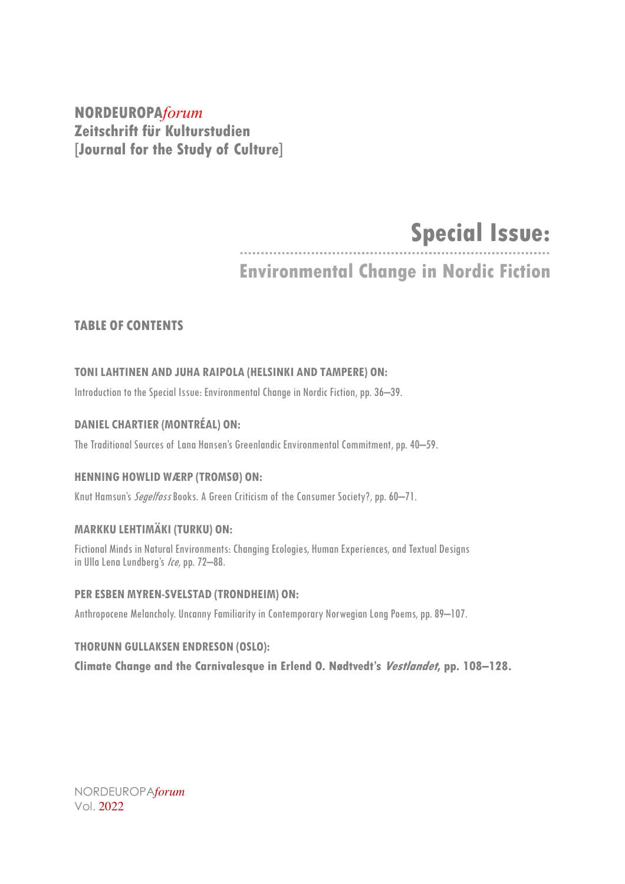### **NORDEUROPA***forum* **Zeitschrift für Kulturstudien [Journal for the Study of Culture]**

# **Special Issue:**

## **Environmental Change in Nordic Fiction**

### **TABLE OF CONTENTS**

#### **TONILAHTINEN AND JUHA RAIPOLA (HELSINKI AND TAMPERE) ON:**

Introduction to the Special Issue: Environmental Change in Nordic Fiction, pp. 36–39.

#### **DANIEL CHARTIER (MONTRÉAL) ON:**

The Traditional Sources of Lana Hansen's Greenlandic Environmental Commitment, pp. 40–59.

#### **HENNING HOWLID WÆRP (TROMSØ) ON:**

Knut Hamsun's *Segelfoss* Books. A Green Criticism of the Consumer Society?, pp. 60–71.

#### **MARKKU LEHTIMÄKI (TURKU) ON:**

Fictional Minds in Natural Environments: Changing Ecologies, Human Experiences, and Textual Designs in Ulla Lena Lundberg's Ice, pp. 72-88.

#### **PER ESBEN MYREN-SVELSTAD (TRONDHEIM) ON:**

Anthropocene Melancholy. Uncanny Familiarity in Contemporary Norwegian Long Poems, pp. 89–107.

#### **THORUNN GULLAKSEN ENDRESON (OSLO):**

**Climate Change and the Carnivalesque in Erlend O. Nødtvedt's Vestlandet, pp. 108–128.**

NORDEUROPA*forum* Vol. 2022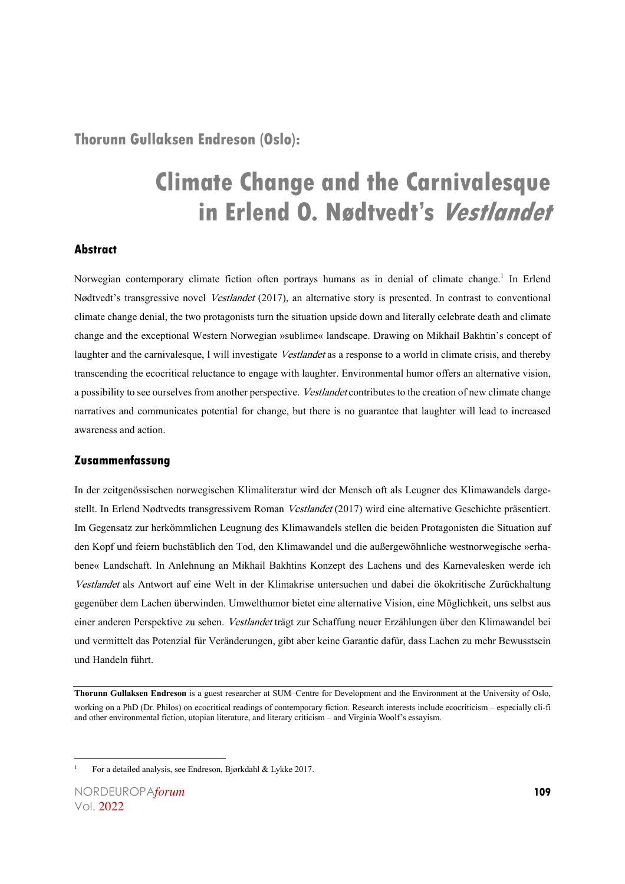**Thorunn Gullaksen Endreson (Oslo):**

## **Climate Change and the Carnivalesque in Erlend O. Nødtvedt's Vestlandet**

#### **Abstract**

Norwegian contemporary climate fiction often portrays humans as in denial of climate change. <sup>1</sup> In Erlend Nødtvedt's transgressive novel Vestlandet (2017), an alternative story is presented. In contrast to conventional climate change denial, the two protagonists turn the situation upside down and literally celebrate death and climate change and the exceptional Western Norwegian »sublime« landscape. Drawing on Mikhail Bakhtin's concept of laughter and the carnivalesque, I will investigate Vestlandet as a response to a world in climate crisis, and thereby transcending the ecocritical reluctance to engage with laughter. Environmental humor offers an alternative vision, a possibility to see ourselves from another perspective. Vestlandet contributes to the creation of new climate change narratives and communicates potential for change, but there is no guarantee that laughter will lead to increased awareness and action.

#### **Zusammenfassung**

In der zeitgenössischen norwegischen Klimaliteratur wird der Mensch oft als Leugner des Klimawandels dargestellt. In Erlend Nødtvedts transgressivem Roman Vestlandet (2017) wird eine alternative Geschichte präsentiert. Im Gegensatz zur herkömmlichen Leugnung des Klimawandels stellen die beiden Protagonisten die Situation auf den Kopf und feiern buchstäblich den Tod, den Klimawandel und die außergewöhnliche westnorwegische »erhabene« Landschaft. In Anlehnung an Mikhail Bakhtins Konzept des Lachens und des Karnevalesken werde ich Vestlandet als Antwort auf eine Welt in der Klimakrise untersuchen und dabei die ökokritische Zurückhaltung gegenüber dem Lachen überwinden. Umwelthumor bietet eine alternative Vision, eine Möglichkeit, uns selbst aus einer anderen Perspektive zu sehen. Vestlandet trägt zur Schaffung neuer Erzählungen über den Klimawandel bei und vermittelt das Potenzial für Veränderungen, gibt aber keine Garantie dafür, dass Lachen zu mehr Bewusstsein und Handeln führt.

**Thorunn Gullaksen Endreson** is a guest researcher at SUM–Centre for Development and the Environment at the University of Oslo, working on a PhD (Dr. Philos) on ecocritical readings of contemporary fiction. Research interests include ecocriticism – especially cli-fi and other environmental fiction, utopian literature, and literary criticism – and Virginia Woolf's essayism.

<sup>1</sup> For a detailed analysis, see Endreson, Bjørkdahl & Lykke 2017.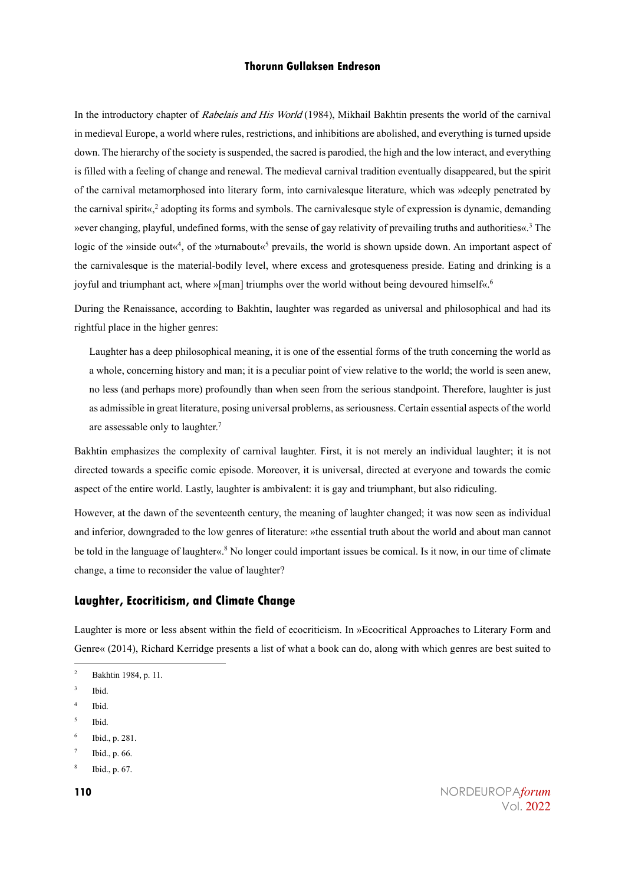In the introductory chapter of Rabelais and His World (1984), Mikhail Bakhtin presents the world of the carnival in medieval Europe, a world where rules, restrictions, and inhibitions are abolished, and everything is turned upside down. The hierarchy of the society is suspended, the sacred is parodied, the high and the low interact, and everything is filled with a feeling of change and renewal. The medieval carnival tradition eventually disappeared, but the spirit of the carnival metamorphosed into literary form, into carnivalesque literature, which was »deeply penetrated by the carnival spirit«, <sup>2</sup> adopting its forms and symbols. The carnivalesque style of expression is dynamic, demanding »ever changing, playful, undefined forms, with the sense of gay relativity of prevailing truths and authorities«. <sup>3</sup> The logic of the »inside out«<sup>4</sup>, of the »turnabout«<sup>5</sup> prevails, the world is shown upside down. An important aspect of the carnivalesque is the material-bodily level, where excess and grotesqueness preside. Eating and drinking is a joyful and triumphant act, where »[man] triumphs over the world without being devoured himself«.<sup>6</sup>

During the Renaissance, according to Bakhtin, laughter was regarded as universal and philosophical and had its rightful place in the higher genres:

Laughter has a deep philosophical meaning, it is one of the essential forms of the truth concerning the world as a whole, concerning history and man; it is a peculiar point of view relative to the world; the world is seen anew, no less (and perhaps more) profoundly than when seen from the serious standpoint. Therefore, laughter is just as admissible in great literature, posing universal problems, as seriousness. Certain essential aspects of the world are assessable only to laughter. 7

Bakhtin emphasizes the complexity of carnival laughter. First, it is not merely an individual laughter; it is not directed towards a specific comic episode. Moreover, it is universal, directed at everyone and towards the comic aspect of the entire world. Lastly, laughter is ambivalent: it is gay and triumphant, but also ridiculing.

However, at the dawn of the seventeenth century, the meaning of laughter changed; it was now seen as individual and inferior, downgraded to the low genres of literature: »the essential truth about the world and about man cannot be told in the language of laughter«. <sup>8</sup> No longer could important issues be comical. Is it now, in our time of climate change, a time to reconsider the value of laughter?

#### **Laughter, Ecocriticism, and Climate Change**

Laughter is more or less absent within the field of ecocriticism. In »Ecocritical Approaches to Literary Form and Genre« (2014), Richard Kerridge presents a list of what a book can do, along with which genres are best suited to

- <sup>5</sup> Ibid.
- <sup>6</sup> Ibid., p. 281.
- Ibid., p. 66.
- <sup>8</sup> Ibid., p. 67.

<sup>2</sup> Bakhtin 1984, p. 11.

<sup>3</sup> Ibid.

<sup>4</sup> Ibid.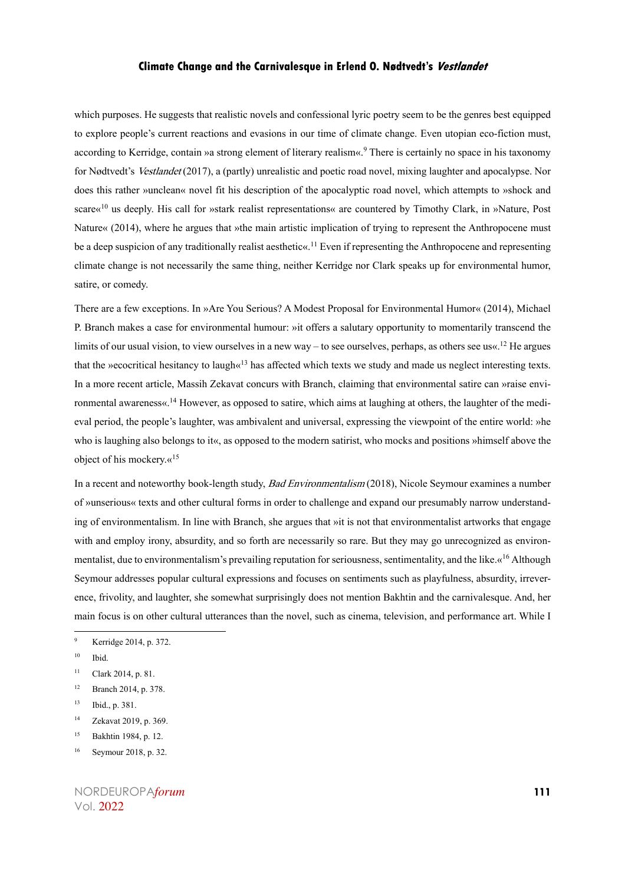which purposes. He suggests that realistic novels and confessional lyric poetry seem to be the genres best equipped to explore people's current reactions and evasions in our time of climate change. Even utopian eco-fiction must, according to Kerridge, contain »a strong element of literary realism«. <sup>9</sup> There is certainly no space in his taxonomy for Nødtvedt's *Vestlandet* (2017), a (partly) unrealistic and poetic road novel, mixing laughter and apocalypse. Nor does this rather »unclean« novel fit his description of the apocalyptic road novel, which attempts to »shock and scare«<sup>10</sup> us deeply. His call for »stark realist representations« are countered by Timothy Clark, in »Nature, Post Nature« (2014), where he argues that »the main artistic implication of trying to represent the Anthropocene must be a deep suspicion of any traditionally realist aesthetic«.<sup>11</sup> Even if representing the Anthropocene and representing climate change is not necessarily the same thing, neither Kerridge nor Clark speaks up for environmental humor, satire, or comedy.

There are a few exceptions. In »Are You Serious? A Modest Proposal for Environmental Humor« (2014), Michael P. Branch makes a case for environmental humour: »it offers a salutary opportunity to momentarily transcend the limits of our usual vision, to view ourselves in a new way – to see ourselves, perhaps, as others see us«.<sup>12</sup> He argues that the »ecocritical hesitancy to laugh« $13$  has affected which texts we study and made us neglect interesting texts. In a more recent article, Massih Zekavat concurs with Branch, claiming that environmental satire can »raise environmental awareness«. <sup>14</sup> However, as opposed to satire, which aims at laughing at others, the laughter of the medieval period, the people's laughter, was ambivalent and universal, expressing the viewpoint of the entire world: »he who is laughing also belongs to it«, as opposed to the modern satirist, who mocks and positions »himself above the object of his mockery. $\kappa^{15}$ 

In a recent and noteworthy book-length study, *Bad Environmentalism* (2018), Nicole Seymour examines a number of »unserious« texts and other cultural forms in order to challenge and expand our presumably narrow understanding of environmentalism. In line with Branch, she argues that »it is not that environmentalist artworks that engage with and employ irony, absurdity, and so forth are necessarily so rare. But they may go unrecognized as environmentalist, due to environmentalism's prevailing reputation for seriousness, sentimentality, and the like.«<sup>16</sup> Although Seymour addresses popular cultural expressions and focuses on sentiments such as playfulness, absurdity, irreverence, frivolity, and laughter, she somewhat surprisingly does not mention Bakhtin and the carnivalesque. And, her main focus is on other cultural utterances than the novel, such as cinema, television, and performance art. While I

<sup>14</sup> Zekavat 2019, p. 369.

<sup>9</sup> Kerridge 2014, p. 372.

<sup>10</sup> Ibid.

 $11$  Clark 2014, p. 81.

<sup>12</sup> Branch 2014, p. 378.

<sup>13</sup> Ibid., p. 381.

<sup>15</sup> Bakhtin 1984, p. 12.

<sup>16</sup> Seymour 2018, p. 32.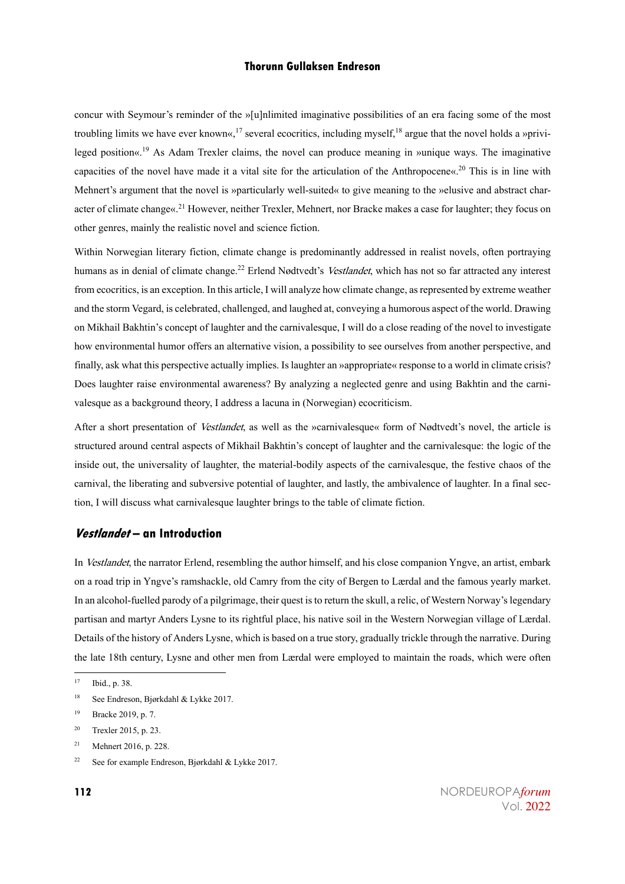concur with Seymour's reminder of the »[u]nlimited imaginative possibilities of an era facing some of the most troubling limits we have ever known«,<sup>17</sup> several ecocritics, including myself,<sup>18</sup> argue that the novel holds a »privileged position«. <sup>19</sup> As Adam Trexler claims, the novel can produce meaning in »unique ways. The imaginative capacities of the novel have made it a vital site for the articulation of the Anthropocene«. <sup>20</sup> This is in line with Mehnert's argument that the novel is »particularly well-suited« to give meaning to the »elusive and abstract character of climate change«.<sup>21</sup> However, neither Trexler, Mehnert, nor Bracke makes a case for laughter; they focus on other genres, mainly the realistic novel and science fiction.

Within Norwegian literary fiction, climate change is predominantly addressed in realist novels, often portraying humans as in denial of climate change.<sup>22</sup> Erlend Nødtvedt's Vestlandet, which has not so far attracted any interest from ecocritics, is an exception. In this article, I will analyze how climate change, as represented by extreme weather and the storm Vegard, is celebrated, challenged, and laughed at, conveying a humorous aspect of the world. Drawing on Mikhail Bakhtin's concept of laughter and the carnivalesque, I will do a close reading of the novel to investigate how environmental humor offers an alternative vision, a possibility to see ourselves from another perspective, and finally,ask what this perspective actually implies. Is laughter an »appropriate« response to a world in climate crisis? Does laughter raise environmental awareness? By analyzing a neglected genre and using Bakhtin and the carnivalesque as a background theory, I address a lacuna in (Norwegian) ecocriticism.

After a short presentation of *Vestlandet*, as well as the »carnivalesque« form of Nødtvedt's novel, the article is structured around central aspects of Mikhail Bakhtin's concept of laughter and the carnivalesque: the logic of the inside out, the universality of laughter, the material-bodily aspects of the carnivalesque, the festive chaos of the carnival, the liberating and subversive potential of laughter, and lastly, the ambivalence of laughter. In a final section, I will discuss what carnivalesque laughter brings to the table of climate fiction.

#### **Vestlandet – an Introduction**

In Vestlandet, the narrator Erlend, resembling the author himself, and his close companion Yngve, an artist, embark on a road trip in Yngve's ramshackle, old Camry from the city of Bergen to Lærdal and the famous yearly market. In an alcohol-fuelled parody of a pilgrimage, their quest is to return the skull, a relic, of Western Norway's legendary partisan and martyr Anders Lysne to its rightful place, his native soil in the Western Norwegian village of Lærdal. Details of the history of Anders Lysne, which is based on a true story, gradually trickle through the narrative. During the late 18th century, Lysne and other men from Lærdal were employed to maintain the roads, which were often

<sup>17</sup> Ibid., p. 38.

<sup>18</sup> See Endreson, Bjørkdahl & Lykke 2017.

<sup>19</sup> Bracke 2019, p. 7.

<sup>20</sup> Trexler 2015, p. 23.

<sup>21</sup> Mehnert 2016, p. 228.

<sup>&</sup>lt;sup>22</sup> See for example Endreson, Bjørkdahl & Lykke 2017.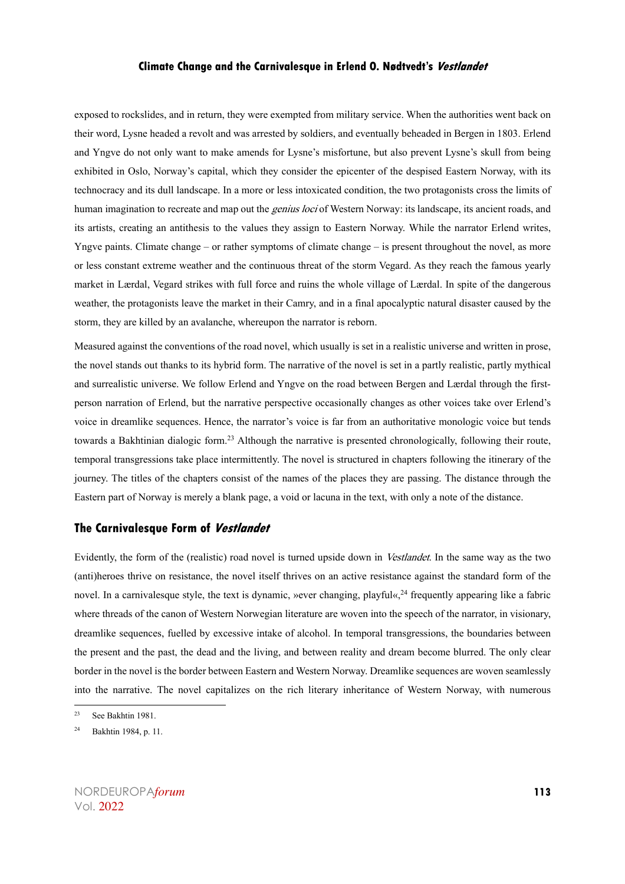exposed to rockslides, and in return, they were exempted from military service. When the authorities went back on their word, Lysne headed a revolt and was arrested by soldiers, and eventually beheaded in Bergen in 1803. Erlend and Yngve do not only want to make amends for Lysne's misfortune, but also prevent Lysne's skull from being exhibited in Oslo, Norway's capital, which they consider the epicenter of the despised Eastern Norway, with its technocracy and its dull landscape. In a more or less intoxicated condition, the two protagonists cross the limits of human imagination to recreate and map out the *genius loci* of Western Norway: its landscape, its ancient roads, and its artists, creating an antithesis to the values they assign to Eastern Norway. While the narrator Erlend writes, Yngve paints. Climate change – or rather symptoms of climate change – is present throughout the novel, as more or less constant extreme weather and the continuous threat of the storm Vegard. As they reach the famous yearly market in Lærdal, Vegard strikes with full force and ruins the whole village of Lærdal. In spite of the dangerous weather, the protagonists leave the market in their Camry, and in a final apocalyptic natural disaster caused by the storm, they are killed by an avalanche, whereupon the narrator is reborn.

Measured against the conventions of the road novel, which usually is set in a realistic universe and written in prose, the novel stands out thanks to its hybrid form. The narrative of the novel is set in a partly realistic, partly mythical and surrealistic universe. We follow Erlend and Yngve on the road between Bergen and Lærdal through the firstperson narration of Erlend, but the narrative perspective occasionally changes as other voices take over Erlend's voice in dreamlike sequences. Hence, the narrator's voice is far from an authoritative monologic voice but tends towards a Bakhtinian dialogic form. <sup>23</sup> Although the narrative is presented chronologically, following their route, temporal transgressions take place intermittently. The novel is structured in chapters following the itinerary of the journey. The titles of the chapters consist of the names of the places they are passing. The distance through the Eastern part of Norway is merely a blank page, a void or lacuna in the text, with only a note of the distance.

#### **The Carnivalesque Form of Vestlandet**

Evidently, the form of the (realistic) road novel is turned upside down in Vestlandet. In the same way as the two (anti)heroes thrive on resistance, the novel itself thrives on an active resistance against the standard form of the novel. In a carnivalesque style, the text is dynamic, wever changing, playful«,<sup>24</sup> frequently appearing like a fabric where threads of the canon of Western Norwegian literature are woven into the speech of the narrator, in visionary, dreamlike sequences, fuelled by excessive intake of alcohol. In temporal transgressions, the boundaries between the present and the past, the dead and the living, and between reality and dream become blurred. The only clear border in the novel is the border between Eastern and Western Norway. Dreamlike sequences are woven seamlessly into the narrative. The novel capitalizes on the rich literary inheritance of Western Norway, with numerous

<sup>23</sup> See Bakhtin 1981.

<sup>24</sup> Bakhtin 1984, p. 11.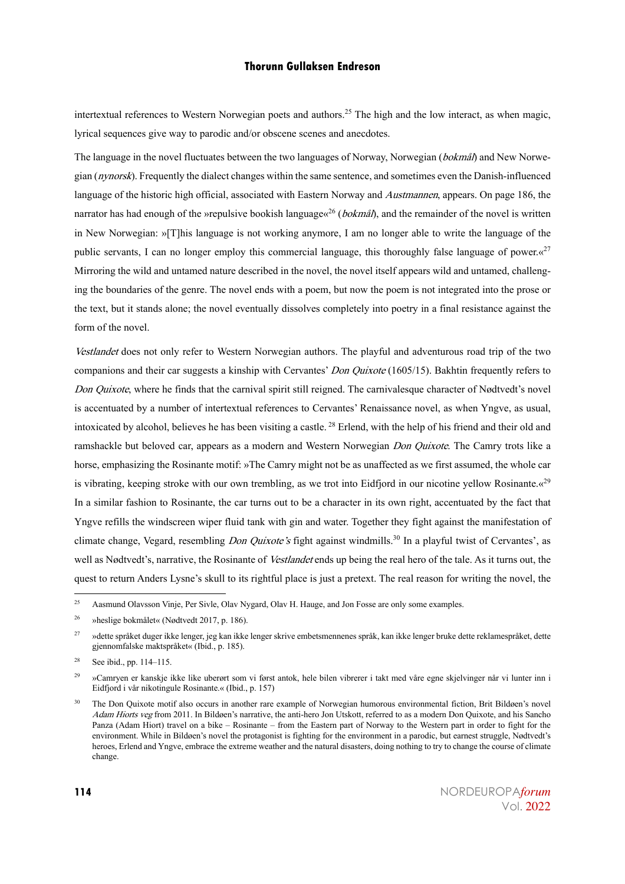intertextual references to Western Norwegian poets and authors. <sup>25</sup> The high and the low interact, as when magic, lyrical sequences give way to parodic and/or obscene scenes and anecdotes.

The language in the novel fluctuates between the two languages of Norway, Norwegian (*bokmål*) and New Norwegian (nynorsk). Frequently the dialect changes within the same sentence, and sometimes even the Danish-influenced language of the historic high official, associated with Eastern Norway and Austmannen, appears. On page 186, the narrator has had enough of the »repulsive bookish language«<sup>26</sup> (*bokmål*), and the remainder of the novel is written in New Norwegian: »[T]his language is not working anymore, I am no longer able to write the language of the public servants, I can no longer employ this commercial language, this thoroughly false language of power. $\alpha^{27}$ Mirroring the wild and untamed nature described in the novel, the novel itself appears wild and untamed, challenging the boundaries of the genre. The novel ends with a poem, but now the poem is not integrated into the prose or the text, but it stands alone; the novel eventually dissolves completely into poetry in a final resistance against the form of the novel.

Vestlandet does not only refer to Western Norwegian authors. The playful and adventurous road trip of the two companions and their car suggests a kinship with Cervantes' Don Quixote (1605/15). Bakhtin frequently refers to Don Quixote, where he finds that the carnival spirit still reigned. The carnivalesque character of Nødtvedt's novel is accentuated by a number of intertextual references to Cervantes' Renaissance novel, as when Yngve, as usual, intoxicated by alcohol, believes he has been visiting a castle. <sup>28</sup> Erlend, with the help of his friend and their old and ramshackle but beloved car, appears as a modern and Western Norwegian Don Quixote. The Camry trots like a horse, emphasizing the Rosinante motif: »The Camry might not be as unaffected as we first assumed, the whole car is vibrating, keeping stroke with our own trembling, as we trot into Eidfjord in our nicotine yellow Rosinante. $\alpha^{29}$ In a similar fashion to Rosinante, the car turns out to be a character in its own right, accentuated by the fact that Yngve refills the windscreen wiper fluid tank with gin and water. Together they fight against the manifestation of climate change, Vegard, resembling *Don Quixote's* fight against windmills.<sup>30</sup> In a playful twist of Cervantes', as well as Nødtvedt's, narrative, the Rosinante of Vestlandet ends up being the real hero of the tale. As it turns out, the quest to return Anders Lysne's skull to its rightful place is just a pretext. The real reason for writing the novel, the

<sup>&</sup>lt;sup>25</sup> Aasmund Olavsson Vinje, Per Sivle, Olav Nygard, Olav H. Hauge, and Jon Fosse are only some examples.

<sup>26</sup> »heslige bokmålet« (Nødtvedt 2017, p. 186).

<sup>&</sup>lt;sup>27</sup> »dette språket duger ikke lenger, jeg kan ikke lenger skrive embetsmennenes språk, kan ikke lenger bruke dette reklamespråket, dette gjennomfalske maktspråket« (Ibid., p. 185).

<sup>28</sup> See ibid., pp. 114–115.

<sup>&</sup>lt;sup>29</sup> »Camryen er kanskje ikke like uberørt som vi først antok, hele bilen vibrerer i takt med våre egne skjelvinger når vi lunter inn i Eidfjord i vår nikotingule Rosinante.« (Ibid., p. 157)

<sup>&</sup>lt;sup>30</sup> The Don Quixote motif also occurs in another rare example of Norwegian humorous environmental fiction, Brit Bildøen's novel Adam Hiorts veg from 2011. In Bildøen's narrative, the anti-hero Jon Utskott, referred to as a modern Don Quixote, and his Sancho Panza (Adam Hiort) travel on a bike – Rosinante – from the Eastern part of Norway to the Western part in order to fight for the environment. While in Bildøen's novel the protagonist is fighting for the environment in a parodic, but earnest struggle, Nødtvedt's heroes, Erlend and Yngve, embrace the extreme weather and the natural disasters, doing nothing to try to change the course of climate change.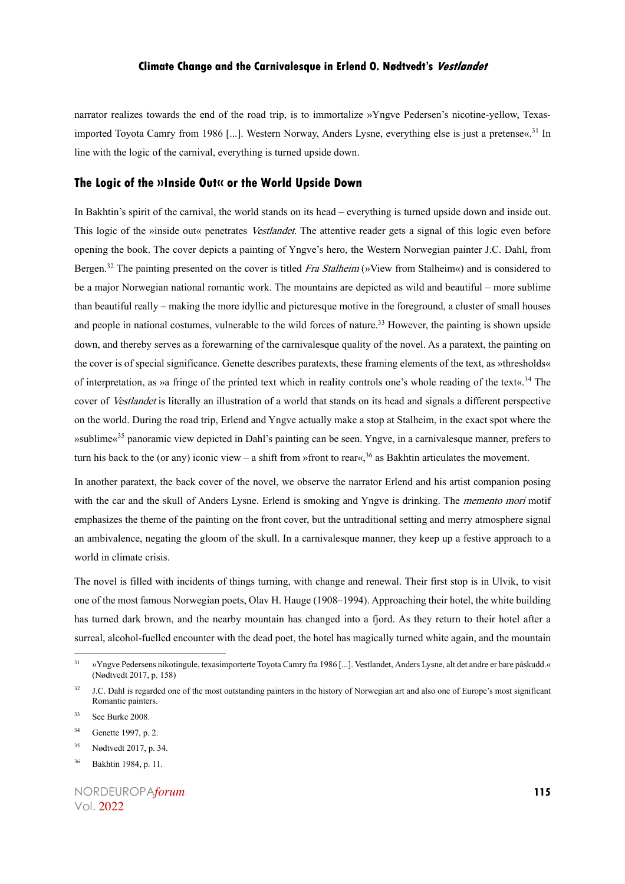narrator realizes towards the end of the road trip, is to immortalize »Yngve Pedersen's nicotine-yellow, Texasimported Toyota Camry from 1986 [...]. Western Norway, Anders Lysne, everything else is just a pretense«. <sup>31</sup> In line with the logic of the carnival, everything is turned upside down.

#### **The Logic of the »Inside Out« or the World Upside Down**

In Bakhtin's spirit of the carnival, the world stands on its head – everything is turned upside down and inside out. This logic of the »inside out« penetrates *Vestlandet*. The attentive reader gets a signal of this logic even before opening the book. The cover depicts a painting of Yngve's hero, the Western Norwegian painter J.C. Dahl, from Bergen.<sup>32</sup> The painting presented on the cover is titled *Fra Stalheim* (»View from Stalheim«) and is considered to be a major Norwegian national romantic work. The mountains are depicted as wild and beautiful – more sublime than beautiful really – making the more idyllic and picturesque motive in the foreground, a cluster of small houses and people in national costumes, vulnerable to the wild forces of nature. <sup>33</sup> However, the painting is shown upside down, and thereby serves as a forewarning of the carnivalesque quality of the novel. As a paratext, the painting on the cover is of special significance. Genette describes paratexts, these framing elements of the text, as »thresholds« of interpretation, as »a fringe of the printed text which in reality controls one's whole reading of the text«. <sup>34</sup> The cover of *Vestlandet* is literally an illustration of a world that stands on its head and signals a different perspective on the world. During the road trip, Erlend and Yngve actually make a stop at Stalheim, in the exact spot where the  $\mu$ sublime«<sup>35</sup> panoramic view depicted in Dahl's painting can be seen. Yngve, in a carnivalesque manner, prefers to turn his back to the (or any) iconic view – a shift from »front to rear«,<sup>36</sup> as Bakhtin articulates the movement.

In another paratext, the back cover of the novel, we observe the narrator Erlend and his artist companion posing with the car and the skull of Anders Lysne. Erlend is smoking and Yngve is drinking. The *memento mori* motif emphasizes the theme of the painting on the front cover, but the untraditional setting and merry atmosphere signal an ambivalence, negating the gloom of the skull. In a carnivalesque manner, they keep up a festive approach to a world in climate crisis.

The novel is filled with incidents of things turning, with change and renewal. Their first stop is in Ulvik, to visit one of the most famous Norwegian poets, Olav H. Hauge (1908–1994). Approaching their hotel, the white building has turned dark brown, and the nearby mountain has changed into a fjord. As they return to their hotel after a surreal, alcohol-fuelled encounter with the dead poet, the hotel has magically turned white again, and the mountain

<sup>31</sup> »Yngve Pedersens nikotingule, texasimporterte Toyota Camry fra 1986 [...]. Vestlandet, Anders Lysne, alt detandre er bare påskudd.« (Nødtvedt 2017, p. 158)

<sup>&</sup>lt;sup>32</sup> J.C. Dahl is regarded one of the most outstanding painters in the history of Norwegian art and also one of Europe's most significant Romantic painters.

<sup>&</sup>lt;sup>33</sup> See Burke 2008.

<sup>34</sup> Genette 1997, p. 2.

<sup>35</sup> Nødtvedt 2017, p. 34.

<sup>36</sup> Bakhtin 1984, p. 11.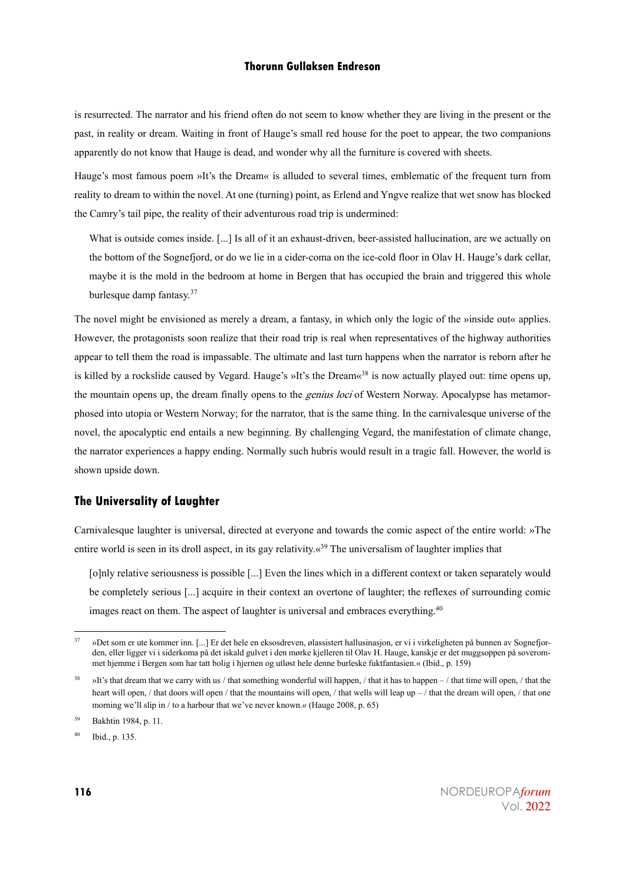is resurrected. The narrator and his friend often do not seem to know whether they are living in the present or the past, in reality or dream. Waiting in front of Hauge's small red house for the poet to appear, the two companions apparently do not know that Hauge is dead, and wonder why all the furniture is covered with sheets.

Hauge's most famous poem »It's the Dream« is alluded to several times, emblematic of the frequent turn from reality to dream to within the novel. At one (turning) point, as Erlend and Yngve realize that wet snow has blocked the Camry's tail pipe, the reality of their adventurous road trip is undermined:

What is outside comes inside. [...] Is all of it an exhaust-driven, beer-assisted hallucination, are we actually on the bottom of the Sognefjord, or do we lie in a cider-coma on the ice-cold floor in Olav H. Hauge's dark cellar, maybe it is the mold in the bedroom at home in Bergen that has occupied the brain and triggered this whole burlesque damp fantasy. 37

The novel might be envisioned as merely a dream, a fantasy, in which only the logic of the »inside out« applies. However, the protagonists soon realize that their road trip is real when representatives of the highway authorities appear to tell them the road is impassable. The ultimate and last turn happens when the narrator is reborn after he is killed by a rockslide caused by Vegard. Hauge's »It's the Dream«<sup>38</sup> is now actually played out: time opens up, the mountain opens up, the dream finally opens to the *genius loci* of Western Norway. Apocalypse has metamorphosed into utopia or Western Norway; for the narrator, that is the same thing. In the carnivalesque universe of the novel, the apocalyptic end entails a new beginning. By challenging Vegard, the manifestation of climate change, the narrator experiences a happy ending. Normally such hubris would result in a tragic fall. However, the world is shown upside down.

#### **The Universality of Laughter**

Carnivalesque laughter is universal, directed at everyone and towards the comic aspect of the entire world: »The entire world is seen in its droll aspect, in its gay relativity. $\alpha^{39}$  The universalism of laughter implies that

[o]nly relative seriousness is possible [...] Even the lines which in a different context or taken separately would be completely serious [...] acquire in their context an overtone of laughter; the reflexes of surrounding comic images react on them. The aspect of laughter is universal and embraces everything.<sup>40</sup>

<sup>37</sup> »Det som er ute kommer inn. [...] Er det hele en eksosdreven, ølassistert hallusinasjon, er vi i virkeligheten på bunnen av Sognefjorden, eller ligger vi i siderkoma på det iskald gulvet i den mørke kjelleren til Olav H. Hauge, kanskje er det muggsoppen på soverommet hjemme i Bergen som har tatt bolig i hjernen og utløst hele denne burleske fuktfantasien.« (Ibid., p. 159)

<sup>&</sup>lt;sup>38</sup> »It's that dream that we carry with us / that something wonderful will happen, / that it has to happen – / that time will open, / that the heart will open, / that doors will open / that the mountains will open, / that wells will leap up – / that the dream will open, / that one morning we'll slip in / to a harbour that we've never known.« (Hauge 2008, p. 65)

<sup>39</sup> Bakhtin 1984, p. 11.

<sup>40</sup> Ibid., p. 135.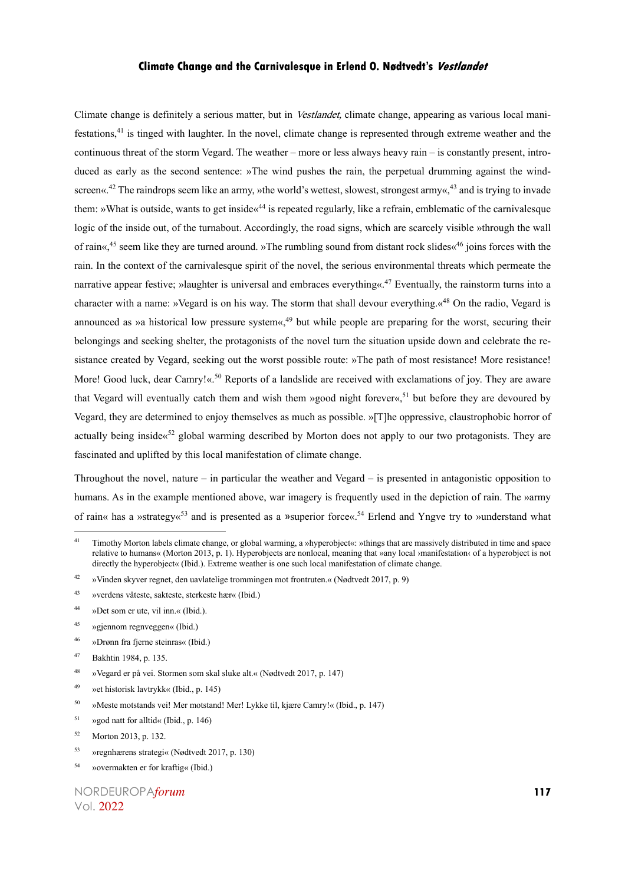Climate change is definitely a serious matter, but in Vestlandet, climate change, appearing as various local manifestations, <sup>41</sup> is tinged with laughter. In the novel, climate change is represented through extreme weather and the continuous threat of the storm Vegard. The weather – more or less always heavy rain – is constantly present, introduced as early as the second sentence: »The wind pushes the rain, the perpetual drumming against the windscreen«.<sup>42</sup> The raindrops seem like an army, »the world's wettest, slowest, strongest army«,<sup>43</sup> and is trying to invade them: »What is outside, wants to get inside«<sup>44</sup> is repeated regularly, like a refrain, emblematic of the carnivalesque logic of the inside out, of the turnabout. Accordingly, the road signs, which are scarcely visible »through the wall of rain«, <sup>45</sup> seem like they are turned around. »The rumbling sound from distant rock slides«<sup>46</sup> joins forces with the rain. In the context of the carnivalesque spirit of the novel, the serious environmental threats which permeate the narrative appear festive; »laughter is universal and embraces everything«.<sup>47</sup> Eventually, the rainstorm turns into a character with a name: »Vegard is on his way. The storm that shall devour everything.«<sup>48</sup> On the radio, Vegard is announced as »a historical low pressure system«,<sup>49</sup> but while people are preparing for the worst, securing their belongings and seeking shelter, the protagonists of the novel turn the situation upside down and celebrate the resistance created by Vegard, seeking out the worst possible route: »The path of most resistance! More resistance! More! Good luck, dear Camry!«.<sup>50</sup> Reports of a landslide are received with exclamations of joy. They are aware that Vegard will eventually catch them and wish them »good night forever«, <sup>51</sup> but before they are devoured by Vegard, they are determined to enjoy themselves as much as possible. »[T]he oppressive, claustrophobic horror of actually being inside  $\alpha^{52}$  global warming described by Morton does not apply to our two protagonists. They are fascinated and uplifted by this local manifestation of climate change.

Throughout the novel, nature – in particular the weather and Vegard – is presented in antagonistic opposition to humans. As in the example mentioned above, war imagery is frequently used in the depiction of rain. The »army of rain« has a »strategy«<sup>53</sup> and is presented as a »superior force«.<sup>54</sup> Erlend and Yngve try to »understand what

- <sup>43</sup> »verdens våteste, sakteste, sterkeste hær« (Ibid.)
- <sup>44</sup> »Det som er ute, vil inn.« (Ibid.).
- <sup>45</sup> »gjennom regnveggen« (Ibid.)
- <sup>46</sup> »Drønn fra fjerne steinras« (Ibid.)
- <sup>47</sup> Bakhtin 1984, p. 135.
- <sup>48</sup> »Vegard er på vei. Stormen som skal sluke alt.« (Nødtvedt 2017, p. 147)
- <sup>49</sup> »et historisk lavtrykk« (Ibid., p. 145)
- <sup>50</sup> »Meste motstands vei! Mer motstand! Mer! Lykke til, kjære Camry!« (Ibid., p. 147)
- $51$  »god natt for alltid« (Ibid., p. 146)
- <sup>52</sup> Morton 2013, p. 132.
- <sup>53</sup> »regnhærens strategi« (Nødtvedt 2017, p. 130)
- <sup>54</sup> »overmakten er for kraftig« (Ibid.)

<sup>41</sup> Timothy Morton labels climate change, or global warming, a »hyperobject«: »things that are massively distributed in time and space relative to humans« (Morton 2013, p. 1). Hyperobjects are nonlocal, meaning that »any local ›manifestation‹ of a hyperobject is not directly the hyperobject« (Ibid.). Extreme weather is one such local manifestation of climate change.

<sup>42</sup> »Vinden skyver regnet, den uavlatelige trommingen mot frontruten.« (Nødtvedt 2017, p. 9)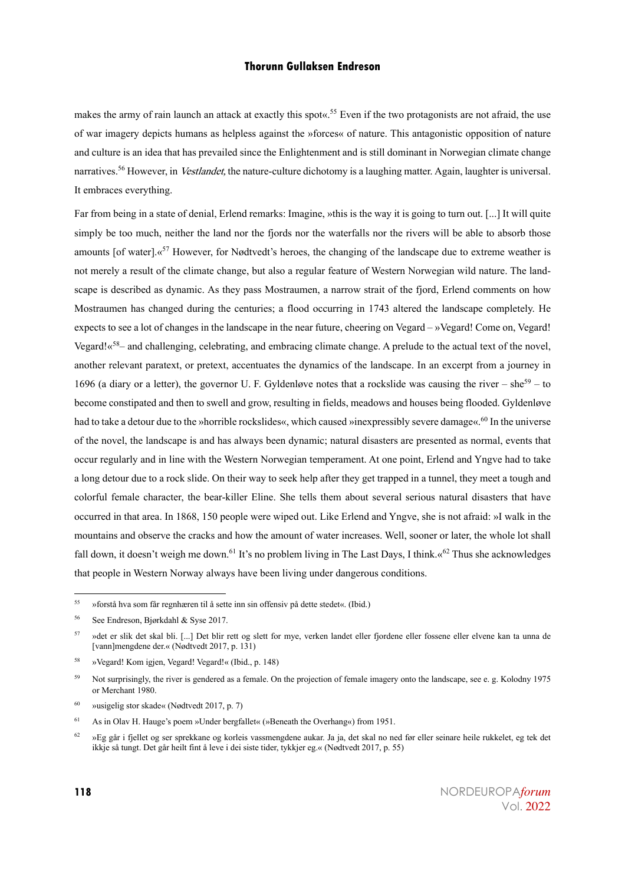makes the army of rain launch an attack at exactly this spot«.<sup>55</sup> Even if the two protagonists are not afraid, the use of war imagery depicts humans as helpless against the »forces« of nature. This antagonistic opposition of nature and culture is an idea that has prevailed since the Enlightenment and is still dominant in Norwegian climate change narratives.<sup>56</sup> However, in *Vestlandet*, the nature-culture dichotomy is a laughing matter. Again, laughter is universal. It embraces everything.

Far from being in a state of denial, Erlend remarks: Imagine, »this is the way it is going to turn out. [...] It will quite simply be too much, neither the land nor the fjords nor the waterfalls nor the rivers will be able to absorb those amounts [of water].«<sup>57</sup> However, for Nødtvedt's heroes, the changing of the landscape due to extreme weather is not merely a result of the climate change, but also a regular feature of Western Norwegian wild nature. The landscape is described as dynamic. As they pass Mostraumen, a narrow strait of the fjord, Erlend comments on how Mostraumen has changed during the centuries; a flood occurring in 1743 altered the landscape completely. He expects to see a lot of changes in the landscape in the near future, cheering on Vegard – »Vegard! Come on, Vegard! Vegard! $\kappa^{58}$ – and challenging, celebrating, and embracing climate change. A prelude to the actual text of the novel, another relevant paratext, or pretext, accentuates the dynamics of the landscape. In an excerpt from a journey in 1696 (a diary or a letter), the governor U. F. Gyldenløve notes that a rockslide was causing the river – she<sup>59</sup> – to become constipated and then to swell and grow, resulting in fields, meadows and houses being flooded. Gyldenløve had to take a detour due to the »horrible rockslides«, which caused »inexpressibly severe damage«.<sup>60</sup> In the universe of the novel, the landscape is and has always been dynamic; natural disasters are presented as normal, events that occur regularly and in line with the Western Norwegian temperament. At one point, Erlend and Yngve had to take a long detour due to a rock slide. On their way to seek help after they get trapped in a tunnel, they meet a tough and colorful female character, the bear-killer Eline. She tells them about several serious natural disasters that have occurred in that area. In 1868, 150 people were wiped out. Like Erlend and Yngve, she is not afraid: »I walk in the mountains and observe the cracks and how the amount of water increases. Well, sooner or later, the whole lot shall fall down, it doesn't weigh me down.<sup>61</sup> It's no problem living in The Last Days, I think.«<sup>62</sup> Thus she acknowledges that people in Western Norway always have been living under dangerous conditions.

<sup>55</sup> »forstå hva som får regnhæren til å sette inn sin offensiv på dette stedet«. (Ibid.)

<sup>56</sup> See Endreson, Bjørkdahl & Syse 2017.

<sup>57</sup> »det er slik det skal bli. [...] Det blir rett og slett for mye, verken landet eller fjordene eller fossene eller elvene kan ta unna de [vann]mengdene der.« (Nødtvedt 2017, p. 131)

<sup>58</sup> »Vegard! Kom igjen, Vegard! Vegard!« (Ibid., p. 148)

<sup>&</sup>lt;sup>59</sup> Not surprisingly, the river is gendered as a female. On the projection of female imagery onto the landscape, see e. g. Kolodny 1975 or Merchant 1980.

<sup>60</sup> »usigelig stor skade« (Nødtvedt 2017, p. 7)

<sup>61</sup> As in Olav H. Hauge's poem »Under bergfallet« (»Beneath the Overhang«) from 1951.

 $62$  »Eg går i fjellet og ser sprekkane og korleis vassmengdene aukar. Ja ja, det skal no ned før eller seinare heile rukkelet, eg tek det ikkje så tungt. Det går heilt fint å leve i dei siste tider, tykkjer eg.« (Nødtvedt 2017, p. 55)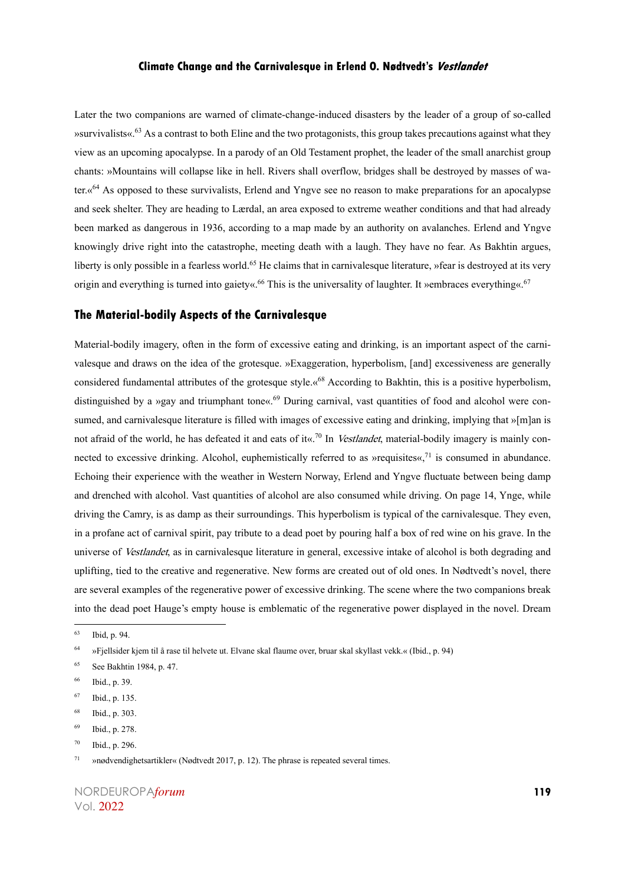Later the two companions are warned of climate-change-induced disasters by the leader of a group of so-called »survivalists«.<sup>63</sup> As a contrast to both Eline and the two protagonists, this group takes precautions against what they view as an upcoming apocalypse. In a parody of an Old Testament prophet, the leader of the small anarchist group chants: »Mountains will collapse like in hell. Rivers shall overflow, bridges shall be destroyed by masses of water.«<sup>64</sup> As opposed to these survivalists, Erlend and Yngve see no reason to make preparations for an apocalypse and seek shelter. They are heading to Lærdal, an area exposed to extreme weather conditions and that had already been marked as dangerous in 1936, according to a map made by an authority on avalanches. Erlend and Yngve knowingly drive right into the catastrophe, meeting death with a laugh. They have no fear. As Bakhtin argues, liberty is only possible in a fearless world.<sup>65</sup> He claims that in carnivalesque literature, »fear is destroyed at its very origin and everything is turned into gaiety«.<sup>66</sup> This is the universality of laughter. It »embraces everything«.<sup>67</sup>

#### **The Material-bodily Aspects of the Carnivalesque**

Material-bodily imagery, often in the form of excessive eating and drinking, is an important aspect of the carnivalesque and draws on the idea of the grotesque. »Exaggeration, hyperbolism, [and] excessiveness are generally considered fundamental attributes of the grotesque style.«<sup>68</sup> According to Bakhtin, this is a positive hyperbolism, distinguished by a »gay and triumphant tone«.<sup>69</sup> During carnival, vast quantities of food and alcohol were consumed, and carnivalesque literature is filled with images of excessive eating and drinking, implying that »[m]an is not afraid of the world, he has defeated it and eats of it«.<sup>70</sup> In *Vestlandet*, material-bodily imagery is mainly connected to excessive drinking. Alcohol, euphemistically referred to as »requisites«, $71$  is consumed in abundance. Echoing their experience with the weather in Western Norway, Erlend and Yngve fluctuate between being damp and drenched with alcohol. Vast quantities of alcohol are also consumed while driving. On page 14, Ynge, while driving the Camry, is as damp as their surroundings. This hyperbolism is typical of the carnivalesque. They even, in a profane act of carnival spirit, pay tribute to a dead poet by pouring half a box of red wine on his grave. In the universe of *Vestlandet*, as in carnivalesque literature in general, excessive intake of alcohol is both degrading and uplifting, tied to the creative and regenerative. New forms are created out of old ones. In Nødtvedt's novel, there are several examples of the regenerative power of excessive drinking. The scene where the two companions break into the dead poet Hauge's empty house is emblematic of the regenerative power displayed in the novel. Dream

<sup>63</sup> Ibid, p. 94.

<sup>64</sup> »Fjellsider kjem til å rase til helvete ut. Elvane skal flaume over, bruar skal skyllast vekk.« (Ibid., p. 94)

<sup>65</sup> See Bakhtin 1984, p. 47.

<sup>66</sup> Ibid., p. 39.

<sup>67</sup> Ibid., p. 135.

<sup>68</sup> Ibid., p. 303.

<sup>69</sup> Ibid., p. 278.

<sup>70</sup> Ibid., p. 296.

<sup>71</sup> »nødvendighetsartikler« (Nødtvedt 2017, p. 12). The phrase is repeated several times.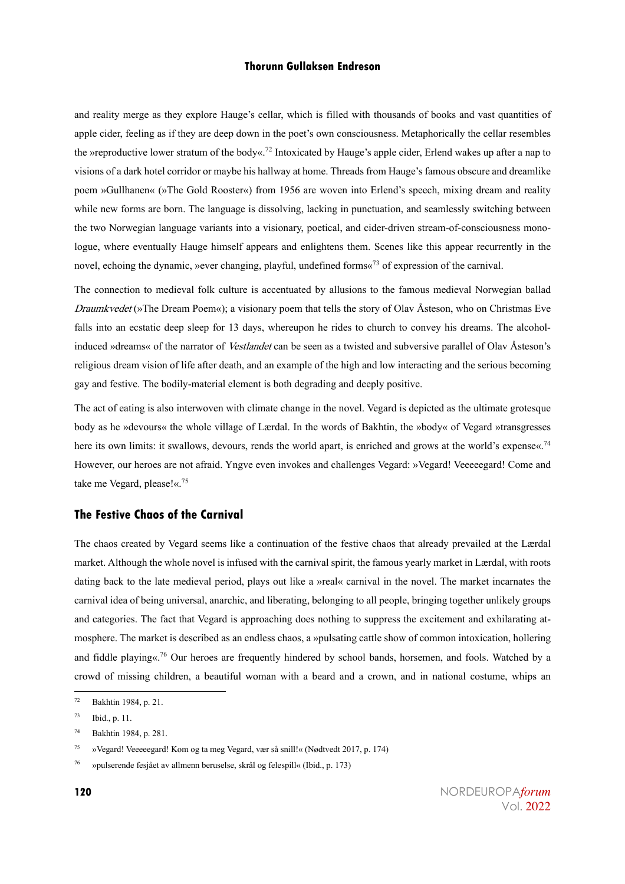and reality merge as they explore Hauge's cellar, which is filled with thousands of books and vast quantities of apple cider, feeling as if they are deep down in the poet's own consciousness. Metaphorically the cellar resembles the »reproductive lower stratum of the body«.<sup>72</sup> Intoxicated by Hauge's apple cider, Erlend wakes up after a nap to visions of a dark hotel corridor or maybe his hallway at home. Threads from Hauge's famous obscure and dreamlike poem »Gullhanen« (»The Gold Rooster«) from 1956 are woven into Erlend's speech, mixing dream and reality while new forms are born. The language is dissolving, lacking in punctuation, and seamlessly switching between the two Norwegian language variants into a visionary, poetical, and cider-driven stream-of-consciousness monologue, where eventually Hauge himself appears and enlightens them. Scenes like this appear recurrently in the novel, echoing the dynamic, »ever changing, playful, undefined forms«<sup>73</sup> of expression of the carnival.

The connection to medieval folk culture is accentuated by allusions to the famous medieval Norwegian ballad Draumkvedet (»The Dream Poem«); a visionary poem that tells the story of Olav Åsteson, who on Christmas Eve falls into an ecstatic deep sleep for 13 days, whereupon he rides to church to convey his dreams. The alcoholinduced »dreams« of the narrator of *Vestlandet* can be seen as a twisted and subversive parallel of Olav Åsteson's religious dream vision of life after death, and an example of the high and low interacting and the serious becoming gay and festive. The bodily-material element is both degrading and deeply positive.

The act of eating is also interwoven with climate change in the novel. Vegard is depicted as the ultimate grotesque body as he »devours« the whole village of Lærdal. In the words of Bakhtin, the »body« of Vegard »transgresses here its own limits: it swallows, devours, rends the world apart, is enriched and grows at the world's expense«.<sup>74</sup> However, our heroes are not afraid. Yngve even invokes and challenges Vegard: »Vegard! Veeeeegard! Come and take me Vegard, please!«. 75

#### **The Festive Chaos of the Carnival**

The chaos created by Vegard seems like a continuation of the festive chaos that already prevailed at the Lærdal market. Although the whole novel is infused with the carnival spirit, the famous yearly market in Lærdal, with roots dating back to the late medieval period, plays out like a »real« carnival in the novel. The market incarnates the carnival idea of being universal, anarchic, and liberating, belonging to all people, bringing together unlikely groups and categories. The fact that Vegard is approaching does nothing to suppress the excitement and exhilarating atmosphere. The market is described as an endless chaos, a »pulsating cattle show of common intoxication, hollering and fiddle playing«. <sup>76</sup> Our heroes are frequently hindered by school bands, horsemen, and fools. Watched by a crowd of missing children, a beautiful woman with a beard and a crown, and in national costume, whips an

<sup>72</sup> Bakhtin 1984, p. 21.

<sup>73</sup> Ibid., p. 11.

<sup>74</sup> Bakhtin 1984, p. 281.

<sup>75</sup> »Vegard! Veeeeegard! Kom og ta meg Vegard, vær så snill!« (Nødtvedt 2017, p. 174)

<sup>76</sup> »pulserende fesjået av allmenn beruselse, skrål og felespill« (Ibid., p. 173)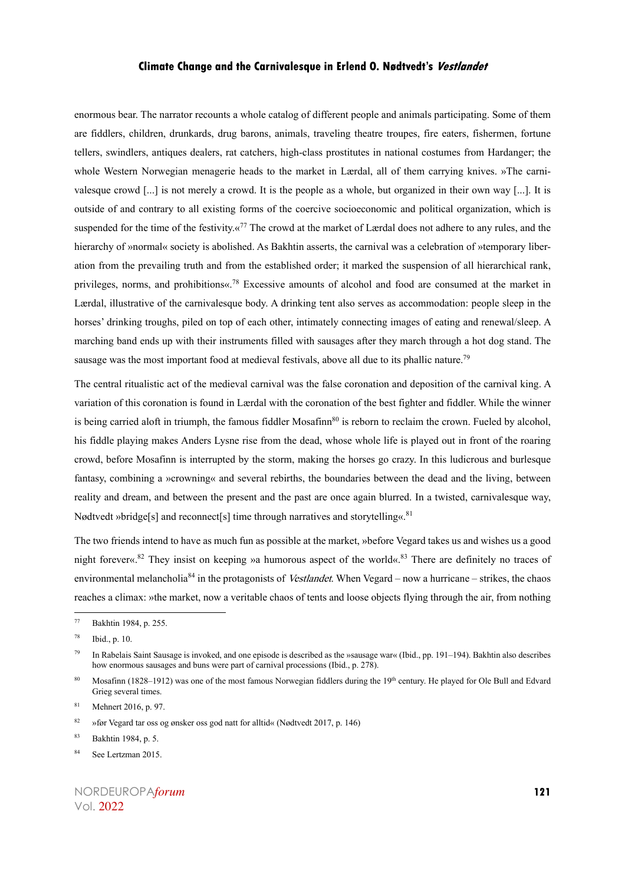enormous bear. The narrator recounts a whole catalog of different people and animals participating. Some of them are fiddlers, children, drunkards, drug barons, animals, traveling theatre troupes, fire eaters, fishermen, fortune tellers, swindlers, antiques dealers, rat catchers, high-class prostitutes in national costumes from Hardanger; the whole Western Norwegian menagerie heads to the market in Lærdal, all of them carrying knives. »The carnivalesque crowd [...] is not merely a crowd. It is the people as a whole, but organized in their own way [...]. It is outside of and contrary to all existing forms of the coercive socioeconomic and political organization, which is suspended for the time of the festivity. $\alpha^{77}$  The crowd at the market of Lærdal does not adhere to any rules, and the hierarchy of »normal« society is abolished. As Bakhtin asserts, the carnival was a celebration of »temporary liberation from the prevailing truth and from the established order; it marked the suspension of all hierarchical rank, privileges, norms, and prohibitions«.<sup>78</sup> Excessive amounts of alcohol and food are consumed at the market in Lærdal, illustrative of the carnivalesque body. A drinking tent also serves as accommodation: people sleep in the horses' drinking troughs, piled on top of each other, intimately connecting images of eating and renewal/sleep. A marching band ends up with their instruments filled with sausages after they march through a hot dog stand. The sausage was the most important food at medieval festivals, above all due to its phallic nature.<sup>79</sup>

The central ritualistic act of the medieval carnival was the false coronation and deposition of the carnival king. A variation of this coronation is found in Lærdal with the coronation of the best fighter and fiddler. While the winner is being carried aloft in triumph, the famous fiddler Mosafinn $80$  is reborn to reclaim the crown. Fueled by alcohol, his fiddle playing makes Anders Lysne rise from the dead, whose whole life is played out in front of the roaring crowd, before Mosafinn is interrupted by the storm, making the horses go crazy. In this ludicrous and burlesque fantasy, combining a »crowning« and several rebirths, the boundaries between the dead and the living, between reality and dream, and between the present and the past are once again blurred. In a twisted, carnivalesque way, Nødtvedt »bridge[s] and reconnect[s] time through narratives and storytelling«.<sup>81</sup>

The two friends intend to have as much fun as possible at the market, »before Vegard takes us and wishes us a good night forever«. <sup>82</sup> They insist on keeping »a humorous aspect of the world«. <sup>83</sup> There are definitely no traces of environmental melancholia<sup>84</sup> in the protagonists of *Vestlandet*. When Vegard – now a hurricane – strikes, the chaos reaches a climax: »the market, now a veritable chaos of tents and loose objects flying through the air, from nothing

<sup>77</sup> Bakhtin 1984, p. 255.

<sup>78</sup> Ibid., p. 10.

<sup>79</sup> In Rabelais Saint Sausage is invoked, and one episode is described as the »sausage war« (Ibid., pp. 191–194). Bakhtin also describes how enormous sausages and buns were part of carnival processions (Ibid., p. 278).

<sup>&</sup>lt;sup>80</sup> Mosafinn (1828–1912) was one of the most famous Norwegian fiddlers during the 19<sup>th</sup> century. He played for Ole Bull and Edvard Grieg several times.

<sup>81</sup> Mehnert 2016, p. 97.

<sup>82</sup> »før Vegard tar oss og ønsker oss god natt for alltid« (Nødtvedt 2017, p. 146)

<sup>83</sup> Bakhtin 1984, p. 5.

<sup>84</sup> See Lertzman 2015.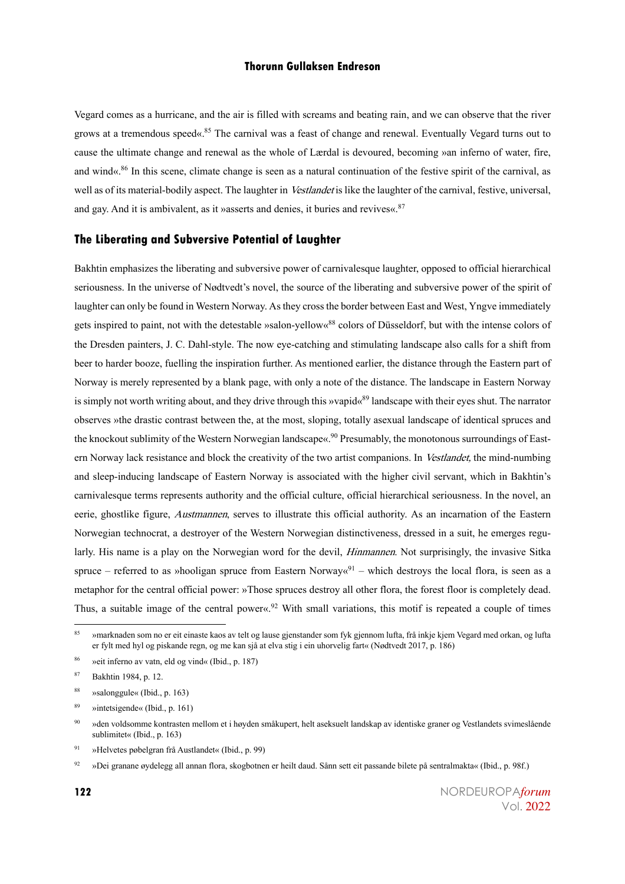Vegard comes as a hurricane, and the air is filled with screams and beating rain, and we can observe that the river grows at a tremendous speed«. <sup>85</sup> The carnival was a feast of change and renewal. Eventually Vegard turns out to cause the ultimate change and renewal as the whole of Lærdal is devoured, becoming »an inferno of water, fire, and wind«.<sup>86</sup> In this scene, climate change is seen as a natural continuation of the festive spirit of the carnival, as well as of its material-bodily aspect. The laughter in Vestlandet is like the laughter of the carnival, festive, universal, and gay. And it is ambivalent, as it »asserts and denies, it buries and revives«.<sup>87</sup>

#### **The Liberating and Subversive Potential of Laughter**

Bakhtin emphasizes the liberating and subversive power of carnivalesque laughter, opposed to official hierarchical seriousness. In the universe of Nødtvedt's novel, the source of the liberating and subversive power of the spirit of laughter can only be found in Western Norway. As they cross the border between East and West, Yngve immediately gets inspired to paint, not with the detestable »salon-yellow«<sup>88</sup> colors of Düsseldorf, but with the intense colors of the Dresden painters, J. C. Dahl-style. The now eye-catching and stimulating landscape also calls for a shift from beer to harder booze, fuelling the inspiration further. As mentioned earlier, the distance through the Eastern part of Norway is merely represented by a blank page, with only a note of the distance. The landscape in Eastern Norway is simply not worth writing about, and they drive through this »vapid«<sup>89</sup> landscape with their eyes shut. The narrator observes »the drastic contrast between the, at the most, sloping, totally asexual landscape of identical spruces and the knockout sublimity of the Western Norwegian landscape«.<sup>90</sup> Presumably, the monotonous surroundings of Eastern Norway lack resistance and block the creativity of the two artist companions. In Vestlandet, the mind-numbing and sleep-inducing landscape of Eastern Norway is associated with the higher civil servant, which in Bakhtin's carnivalesque terms represents authority and the official culture, official hierarchical seriousness. In the novel, an eerie, ghostlike figure, Austmannen, serves to illustrate this official authority. As an incarnation of the Eastern Norwegian technocrat, a destroyer of the Western Norwegian distinctiveness, dressed in a suit, he emerges regularly. His name is a play on the Norwegian word for the devil, *Hinmannen*. Not surprisingly, the invasive Sitka spruce – referred to as »hooligan spruce from Eastern Norway«<sup>91</sup> – which destroys the local flora, is seen as a metaphor for the central official power: »Those spruces destroy all other flora, the forest floor is completely dead. Thus, a suitable image of the central power«.<sup>92</sup> With small variations, this motif is repeated a couple of times

<sup>&</sup>lt;sup>85</sup> »marknaden som no er eit einaste kaos av telt og lause gjenstander som fyk gjennom lufta, frå inkje kjem Vegard med orkan, og lufta er fylt med hyl og piskande regn, og me kan sjå at elva stig i ein uhorvelig fart« (Nødtvedt 2017, p. 186)

<sup>86</sup> »eit inferno av vatn, eld og vind« (Ibid., p. 187)

<sup>87</sup> Bakhtin 1984, p. 12.

<sup>88</sup> »salonggule« (Ibid., p. 163)

<sup>89</sup> »intetsigende« (Ibid., p. 161)

<sup>90</sup> »den voldsomme kontrasten mellom et i høyden småkupert, helt aseksuelt landskap av identiske graner og Vestlandets svimeslående sublimitet« (Ibid., p. 163)

<sup>91</sup> »Helvetes pøbelgran frå Austlandet« (Ibid., p. 99)

 $92$  »Dei granane øydelegg all annan flora, skogbotnen er heilt daud. Sånn sett eit passande bilete på sentralmakta« (Ibid., p. 98f.)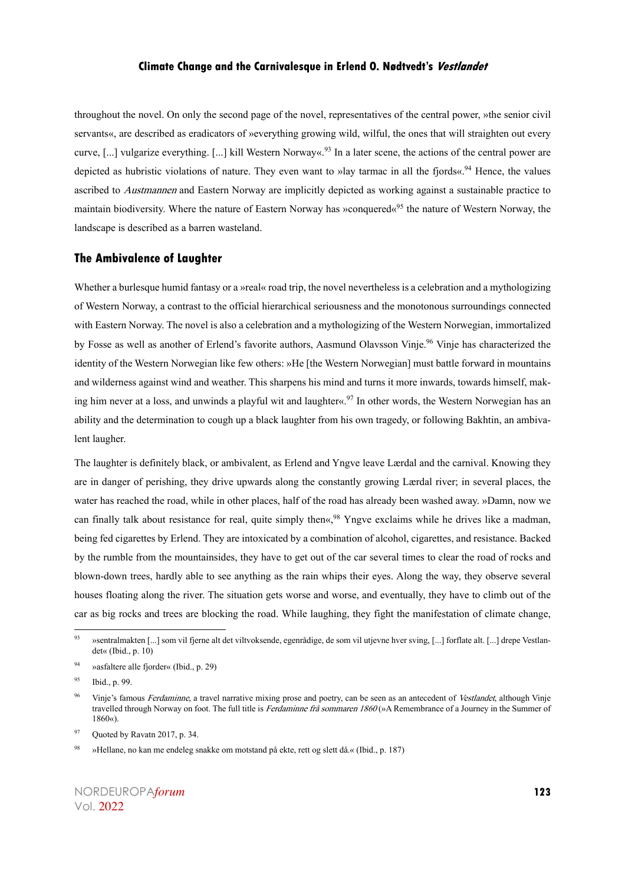throughout the novel. On only the second page of the novel, representatives of the central power, »the senior civil servants«, are described as eradicators of »everything growing wild, wilful, the ones that will straighten out every curve, [...] vulgarize everything. [...] kill Western Norway«. <sup>93</sup> In a later scene, the actions of the central power are depicted as hubristic violations of nature. They even want to »lay tarmac in all the fjords«. <sup>94</sup> Hence, the values ascribed to *Austmannen* and Eastern Norway are implicitly depicted as working against a sustainable practice to maintain biodiversity. Where the nature of Eastern Norway has »conquered«<sup>95</sup> the nature of Western Norway, the landscape is described as a barren wasteland.

#### **The Ambivalence of Laughter**

Whether a burlesque humid fantasy or a »real« road trip, the novel nevertheless is a celebration and a mythologizing of Western Norway, a contrast to the official hierarchical seriousness and the monotonous surroundings connected with Eastern Norway. The novel is also a celebration and a mythologizing of the Western Norwegian, immortalized by Fosse as well as another of Erlend's favorite authors, Aasmund Olavsson Vinje. <sup>96</sup> Vinje has characterized the identity of the Western Norwegian like few others: »He [the Western Norwegian] must battle forward in mountains and wilderness against wind and weather. This sharpens his mind and turns it more inwards, towards himself, making him never at a loss, and unwinds a playful wit and laughter«.<sup>97</sup> In other words, the Western Norwegian has an ability and the determination to cough up a black laughter from his own tragedy, or following Bakhtin, an ambivalent laugher.

The laughter is definitely black, or ambivalent, as Erlend and Yngve leave Lærdal and the carnival. Knowing they are in danger of perishing, they drive upwards along the constantly growing Lærdal river; in several places, the water has reached the road, while in other places, half of the road has already been washed away. »Damn, now we can finally talk about resistance for real, quite simply then«, <sup>98</sup> Yngve exclaims while he drives like a madman, being fed cigarettes by Erlend. They are intoxicated by a combination of alcohol, cigarettes, and resistance. Backed by the rumble from the mountainsides, they have to get out of the car several times to clear the road of rocks and blown-down trees, hardly able to see anything as the rain whips their eyes. Along the way, they observe several houses floating along the river. The situation gets worse and worse, and eventually, they have to climb out of the car as big rocks and trees are blocking the road. While laughing, they fight the manifestation of climate change,

<sup>93</sup> »sentralmakten [...] som vil fjerne alt det viltvoksende, egenrådige, de som vil utjevne hver sving, [...] forflate alt. [...] drepe Vestlandet« (Ibid., p. 10)

<sup>94</sup> »asfaltere alle fjorder« (Ibid., p. 29)

<sup>95</sup> Ibid., p. 99.

<sup>&</sup>lt;sup>96</sup> Vinje's famous *Ferdaminne*, a travel narrative mixing prose and poetry, can be seen as an antecedent of Vestlandet, although Vinje travelled through Norway on foot. The full title is Ferdaminne frå sommaren 1860 (»A Remembrance of a Journey in the Summer of 1860«).

<sup>97</sup> Quoted by Ravatn 2017, p. 34.

<sup>98</sup> »Hellane, no kan me endeleg snakke om motstand på ekte, rett og slett då.« (Ibid., p. 187)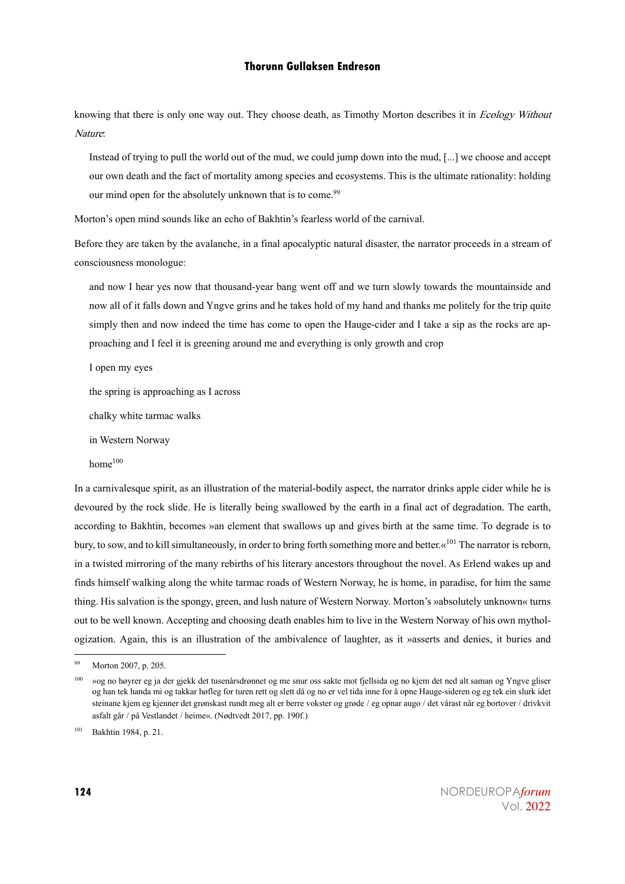knowing that there is only one way out. They choose death, as Timothy Morton describes it in *Ecology Without* Nature:

Instead of trying to pull the world out of the mud, we could jump down into the mud, [...] we choose and accept our own death and the fact of mortality among species and ecosystems. This is the ultimate rationality: holding our mind open for the absolutely unknown that is to come.<sup>99</sup>

Morton's open mind sounds like an echo of Bakhtin's fearless world of the carnival.

Before they are taken by the avalanche, in a final apocalyptic natural disaster, the narrator proceeds in a stream of consciousness monologue:

and now I hear yes now that thousand-year bang went off and we turn slowly towards the mountainside and now all of it falls down and Yngve grins and he takes hold of my hand and thanks me politely for the trip quite simply then and now indeed the time has come to open the Hauge-cider and I take a sip as the rocks are approaching and I feel it is greening around me and everything is only growth and crop

I open my eyes

the spring is approaching as I across

chalky white tarmac walks

in Western Norway

home<sup>100</sup>

In a carnivalesque spirit, as an illustration of the material-bodily aspect, the narrator drinks apple cider while he is devoured by the rock slide. He is literally being swallowed by the earth in a final act of degradation. The earth, according to Bakhtin, becomes »an element that swallows up and gives birth at the same time. To degrade is to bury, to sow, and to kill simultaneously, in order to bring forth something more and better.«<sup>101</sup> The narrator is reborn, in a twisted mirroring of the many rebirths of his literary ancestors throughout the novel. As Erlend wakes up and finds himself walking along the white tarmac roads of Western Norway, he is home, in paradise, for him the same thing. His salvation is the spongy, green, and lush nature of Western Norway. Morton's »absolutely unknown« turns out to be well known. Accepting and choosing death enables him to live in the Western Norway of his own mythologization. Again, this is an illustration of the ambivalence of laughter, as it »asserts and denies, it buries and

<sup>99</sup> Morton 2007, p. 205.

<sup>100</sup> »og no høyrer eg ja der gjekk det tusenårsdrønnet og me snur oss sakte mot fjellsida og no kjem det ned alt saman og Yngve gliser og han tek handa mi og takkar høfleg for turen rett og slett då og no er vel tida inne for å opne Hauge-sideren og eg tek ein slurk idet steinane kjem eg kjenner det grønskast rundt meg alt er berre vokster og grøde / eg opnar augo / det vårast når eg bortover / drivkvit asfalt går / på Vestlandet / heime«. (Nødtvedt 2017, pp. 190f.)

<sup>101</sup> Bakhtin 1984, p. 21.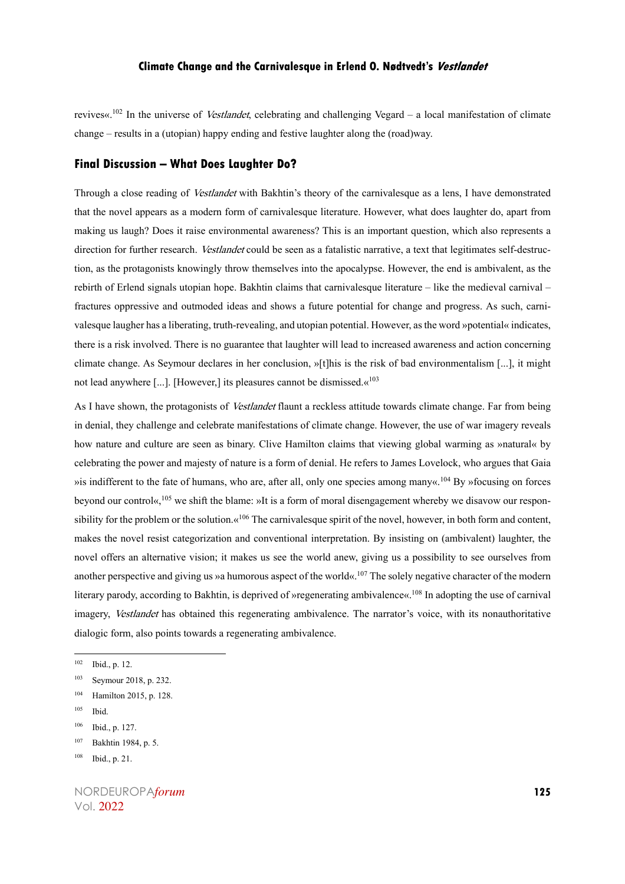revives«.<sup>102</sup> In the universe of *Vestlandet*, celebrating and challenging Vegard – a local manifestation of climate change – results in a (utopian) happy ending and festive laughter along the (road)way.

#### **Final Discussion – What Does Laughter Do?**

Through a close reading of Vestlandet with Bakhtin's theory of the carnivalesque as a lens, I have demonstrated that the novel appears as a modern form of carnivalesque literature. However, what does laughter do, apart from making us laugh? Does it raise environmental awareness? This is an important question, which also represents a direction for further research. *Vestlandet* could be seen as a fatalistic narrative, a text that legitimates self-destruction, as the protagonists knowingly throw themselves into the apocalypse. However, the end is ambivalent, as the rebirth of Erlend signals utopian hope. Bakhtin claims that carnivalesque literature – like the medieval carnival – fractures oppressive and outmoded ideas and shows a future potential for change and progress. As such, carnivalesque laugher has a liberating, truth-revealing, and utopian potential. However, as the word »potential« indicates, there is a risk involved. There is no guarantee that laughter will lead to increased awareness and action concerning climate change. As Seymour declares in her conclusion, »[t]his is the risk of bad environmentalism [...], it might not lead anywhere [...]. [However,] its pleasures cannot be dismissed.«<sup>103</sup>

As I have shown, the protagonists of *Vestlandet* flaunt a reckless attitude towards climate change. Far from being in denial, they challenge and celebrate manifestations of climate change. However, the use of war imagery reveals how nature and culture are seen as binary. Clive Hamilton claims that viewing global warming as »natural« by celebrating the power and majesty of nature is a form of denial. He refers to James Lovelock, who argues that Gaia »is indifferent to the fate of humans, who are, after all, only one species among many«. <sup>104</sup> By »focusing on forces beyond our control«,<sup>105</sup> we shift the blame: »It is a form of moral disengagement whereby we disavow our responsibility for the problem or the solution. $\alpha^{106}$  The carnivalesque spirit of the novel, however, in both form and content, makes the novel resist categorization and conventional interpretation. By insisting on (ambivalent) laughter, the novel offers an alternative vision; it makes us see the world anew, giving us a possibility to see ourselves from another perspective and giving us »a humorous aspect of the world«.<sup>107</sup> The solely negative character of the modern literary parody, according to Bakhtin, is deprived of »regenerating ambivalence«. <sup>108</sup> In adopting the use of carnival imagery, Vestlandet has obtained this regenerating ambivalence. The narrator's voice, with its nonauthoritative dialogic form, also points towards a regenerating ambivalence.

<sup>102</sup> Ibid., p. 12.

<sup>103</sup> Seymour 2018, p. 232.

<sup>104</sup> Hamilton 2015, p. 128.

<sup>105</sup> Ibid.

<sup>106</sup> Ibid., p. 127.

<sup>107</sup> Bakhtin 1984, p. 5.

<sup>108</sup> Ibid., p. 21.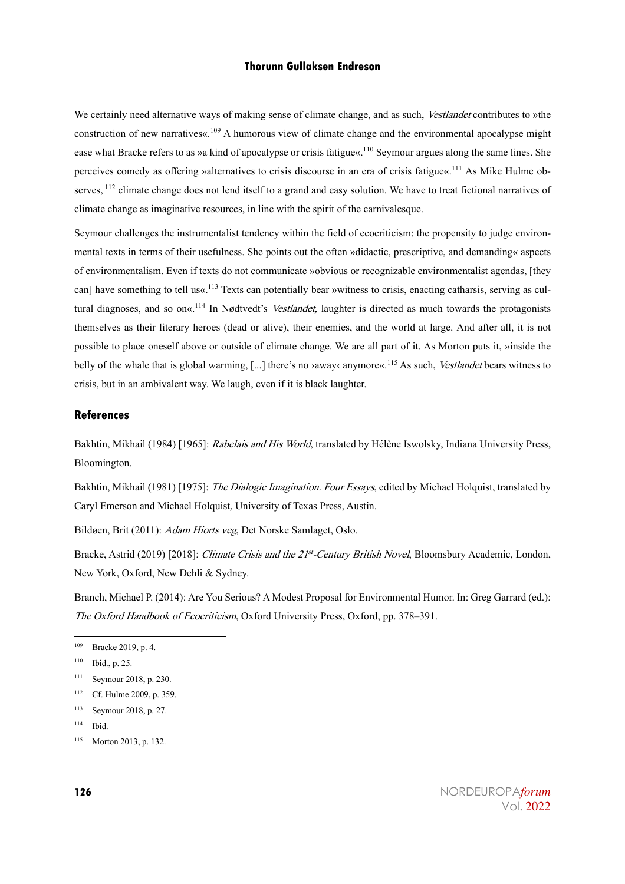We certainly need alternative ways of making sense of climate change, and as such, Vestlandet contributes to »the construction of new narratives«. <sup>109</sup> A humorous view of climate change and the environmental apocalypse might ease what Bracke refers to as »a kind of apocalypse or crisis fatigue«.<sup>110</sup> Seymour argues along the same lines. She perceives comedy as offering »alternatives to crisis discourse in an era of crisis fatigue«.<sup>111</sup> As Mike Hulme observes, <sup>112</sup> climate change does not lend itself to a grand and easy solution. We have to treat fictional narratives of climate change as imaginative resources, in line with the spirit of the carnivalesque.

Seymour challenges the instrumentalist tendency within the field of ecocriticism: the propensity to judge environmental texts in terms of their usefulness. She points out the often »didactic, prescriptive, and demanding« aspects of environmentalism. Even if texts do not communicate »obvious or recognizable environmentalist agendas, [they can] have something to tell us«.<sup>113</sup> Texts can potentially bear »witness to crisis, enacting catharsis, serving as cultural diagnoses, and so on«.<sup>114</sup> In Nødtvedt's *Vestlandet*, laughter is directed as much towards the protagonists themselves as their literary heroes (dead or alive), their enemies, and the world at large. And after all, it is not possible to place oneself above or outside of climate change. We are all part of it. As Morton puts it, »inside the belly of the whale that is global warming, [...] there's no *y*away‹ anymore«.<sup>115</sup> As such, *Vestlandet* bears witness to crisis, but in an ambivalent way. We laugh, even if it is black laughter.

#### **References**

Bakhtin, Mikhail (1984) [1965]: Rabelais and His World, translated by Hélène Iswolsky, Indiana University Press, Bloomington.

Bakhtin, Mikhail (1981) [1975]: *The Dialogic Imagination. Four Essays*, edited by Michael Holquist, translated by Caryl Emerson and Michael Holquist, University of Texas Press, Austin.

Bildøen, Brit (2011): Adam Hiorts veg, Det Norske Samlaget, Oslo.

Bracke, Astrid (2019) [2018]: Climate Crisis and the 21st-Century British Novel, Bloomsbury Academic, London, New York, Oxford, New Dehli & Sydney.

Branch, Michael P. (2014): Are You Serious? A Modest Proposal for Environmental Humor. In: Greg Garrard (ed.): The Oxford Handbook of Ecocriticism, Oxford University Press, Oxford, pp. 378–391.

<sup>109</sup> Bracke 2019, p. 4.

<sup>110</sup> Ibid., p. 25.

<sup>111</sup> Seymour 2018, p. 230.

<sup>112</sup> Cf. Hulme 2009, p. 359.

<sup>113</sup> Seymour 2018, p. 27.

 $114$  Ibid.

<sup>115</sup> Morton 2013, p. 132.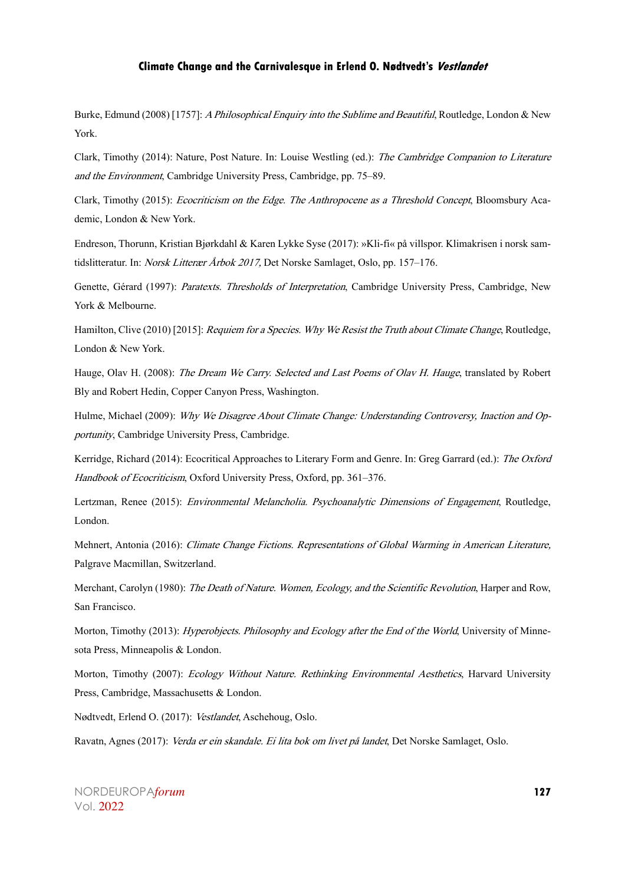Burke, Edmund (2008) [1757]: A Philosophical Enquiry into the Sublime and Beautiful, Routledge, London & New York.

Clark, Timothy (2014): Nature, Post Nature. In: Louise Westling (ed.): The Cambridge Companion to Literature and the Environment, Cambridge University Press, Cambridge, pp. 75–89.

Clark, Timothy (2015): Ecocriticism on the Edge. The Anthropocene as a Threshold Concept, Bloomsbury Academic, London & New York.

Endreson, Thorunn, Kristian Bjørkdahl & Karen Lykke Syse (2017): »Kli-fi« på villspor. Klimakrisen i norsk samtidslitteratur. In: Norsk Litterær Årbok 2017, Det Norske Samlaget, Oslo, pp. 157-176.

Genette, Gérard (1997): Paratexts. Thresholds of Interpretation, Cambridge University Press, Cambridge, New York & Melbourne.

Hamilton, Clive (2010) [2015]: *Requiem for a Species. Why We Resist the Truth about Climate Change*, Routledge, London & New York.

Hauge, Olav H. (2008): The Dream We Carry. Selected and Last Poems of Olav H. Hauge, translated by Robert Bly and Robert Hedin, Copper Canyon Press, Washington.

Hulme, Michael (2009): Why We Disagree About Climate Change: Understanding Controversy, Inaction and Opportunity, Cambridge University Press, Cambridge.

Kerridge, Richard (2014): Ecocritical Approaches to Literary Form and Genre. In: Greg Garrard (ed.): The Oxford Handbook of Ecocriticism, Oxford University Press, Oxford, pp. 361–376.

Lertzman, Renee (2015): *Environmental Melancholia. Psychoanalytic Dimensions of Engagement*, Routledge, London.

Mehnert, Antonia (2016): Climate Change Fictions. Representations of Global Warming in American Literature, Palgrave Macmillan, Switzerland.

Merchant, Carolyn (1980): The Death of Nature. Women, Ecology, and the Scientific Revolution, Harper and Row, San Francisco.

Morton, Timothy (2013): *Hyperobjects. Philosophy and Ecology after the End of the World*, University of Minnesota Press, Minneapolis & London.

Morton, Timothy (2007): Ecology Without Nature. Rethinking Environmental Aesthetics, Harvard University Press, Cambridge, Massachusetts & London.

Nødtvedt, Erlend O. (2017): Vestlandet, Aschehoug, Oslo.

Ravatn, Agnes (2017): Verda er ein skandale. Ei lita bok om livet på landet, Det Norske Samlaget, Oslo.